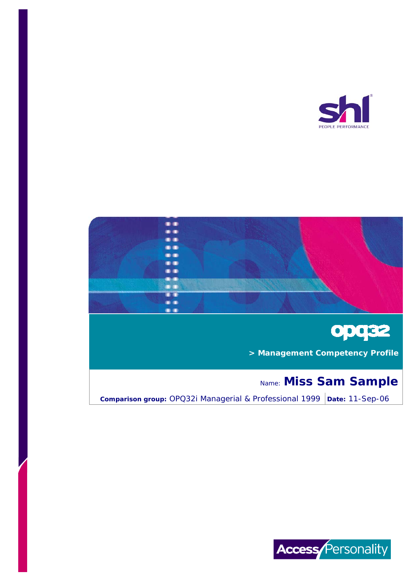





 **> Management Competency Profile**

# Name: **Miss Sam Sample**

**Comparison group:** OPQ32i Managerial & Professional 1999 | Date: 11-Sep-06

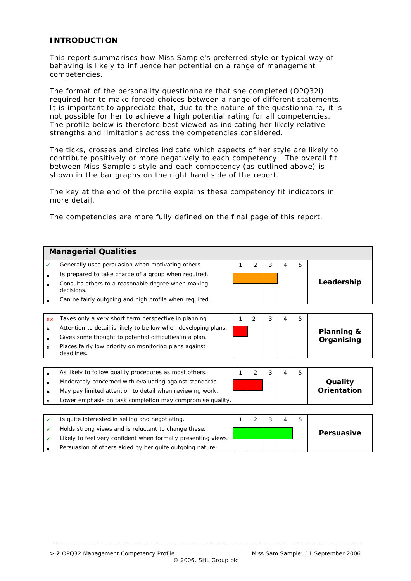#### **INTRODUCTION**

This report summarises how Miss Sample's preferred style or typical way of behaving is likely to influence her potential on a range of management competencies.

The format of the personality questionnaire that she completed (OPQ32i) required her to make forced choices between a range of different statements. It is important to appreciate that, due to the nature of the questionnaire, it is not possible for her to achieve a high potential rating for all competencies. The profile below is therefore best viewed as indicating her likely relative strengths and limitations across the competencies considered.

The ticks, crosses and circles indicate which aspects of her style are likely to contribute positively or more negatively to each competency. The overall fit between Miss Sample's style and each competency (as outlined above) is shown in the bar graphs on the right hand side of the report.

The key at the end of the profile explains these competency fit indicators in more detail.

The competencies are more fully defined on the final page of this report.

|                           | <b>Managerial Qualities</b>                                          |   |                |   |   |   |             |  |
|---------------------------|----------------------------------------------------------------------|---|----------------|---|---|---|-------------|--|
| $\checkmark$              | Generally uses persuasion when motivating others.                    | 1 | 2              | 3 | 4 | 5 |             |  |
| $\bullet$                 | Is prepared to take charge of a group when required.                 |   |                |   |   |   |             |  |
|                           | Consults others to a reasonable degree when making<br>decisions.     |   |                |   |   |   | Leadership  |  |
|                           | Can be fairly outgoing and high profile when required.               |   |                |   |   |   |             |  |
|                           |                                                                      |   |                |   |   |   |             |  |
| xx                        | Takes only a very short term perspective in planning.                | 1 | $\overline{2}$ | 3 | 4 | 5 |             |  |
| ×                         | Attention to detail is likely to be low when developing plans.       |   |                |   |   |   | Planning &  |  |
| $\bullet$                 | Gives some thought to potential difficulties in a plan.              |   |                |   |   |   | Organising  |  |
| ×                         | Places fairly low priority on monitoring plans against<br>deadlines. |   |                |   |   |   |             |  |
|                           |                                                                      |   |                |   |   |   |             |  |
| $\bullet$                 | As likely to follow quality procedures as most others.               | 1 | $\overline{2}$ | 3 | 4 | 5 |             |  |
| $\bullet$                 | Moderately concerned with evaluating against standards.              |   |                |   |   |   | Quality     |  |
| $\pmb{\times}$            | May pay limited attention to detail when reviewing work.             |   |                |   |   |   | Orientation |  |
| $\boldsymbol{\mathsf{x}}$ | Lower emphasis on task completion may compromise quality.            |   |                |   |   |   |             |  |
|                           |                                                                      |   |                |   |   |   |             |  |
| $\checkmark$              | Is quite interested in selling and negotiating.                      | 1 | $\overline{2}$ | 3 | 4 | 5 |             |  |
| ✓                         | Holds strong views and is reluctant to change these.                 |   |                |   |   |   | Persuasive  |  |
| ✓                         | Likely to feel very confident when formally presenting views.        |   |                |   |   |   |             |  |
|                           | Persuasion of others aided by her quite outgoing nature.             |   |                |   |   |   |             |  |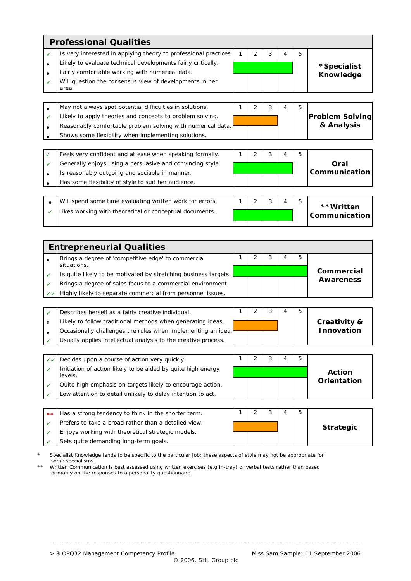|              | <b>Professional Qualities</b>                                    |   |                |   |   |   |                            |  |  |
|--------------|------------------------------------------------------------------|---|----------------|---|---|---|----------------------------|--|--|
| $\checkmark$ | Is very interested in applying theory to professional practices. | 1 | $\overline{2}$ | 3 | 4 | 5 |                            |  |  |
|              | Likely to evaluate technical developments fairly critically.     |   |                |   |   |   | *Specialist                |  |  |
|              | Fairly comfortable working with numerical data.                  |   |                |   |   |   | <b>Knowledge</b>           |  |  |
| $\checkmark$ | Will question the consensus view of developments in her<br>area. |   |                |   |   |   |                            |  |  |
|              |                                                                  |   |                |   |   |   |                            |  |  |
| $\bullet$    | May not always spot potential difficulties in solutions.         | 1 | 2              | 3 | 4 | 5 |                            |  |  |
| $\checkmark$ | Likely to apply theories and concepts to problem solving.        |   |                |   |   |   | <b>Problem Solving</b>     |  |  |
|              | Reasonably comfortable problem solving with numerical data.      |   |                |   |   |   | & Analysis                 |  |  |
|              | Shows some flexibility when implementing solutions.              |   |                |   |   |   |                            |  |  |
|              |                                                                  |   |                |   |   |   |                            |  |  |
| $\checkmark$ | Feels very confident and at ease when speaking formally.         | 1 | $\overline{2}$ | 3 | 4 | 5 |                            |  |  |
| $\checkmark$ | Generally enjoys using a persuasive and convincing style.        |   |                |   |   |   | Oral                       |  |  |
|              | Is reasonably outgoing and sociable in manner.                   |   |                |   |   |   | Communication              |  |  |
|              | Has some flexibility of style to suit her audience.              |   |                |   |   |   |                            |  |  |
|              |                                                                  |   |                |   |   |   |                            |  |  |
| $\bullet$    | Will spend some time evaluating written work for errors.         |   | 2              | 3 |   | 5 |                            |  |  |
| ✓            | Likes working with theoretical or conceptual documents.          |   |                |   |   |   | **Written<br>Communication |  |  |

| <b>Entrepreneurial Qualities</b> |                                                                    |  |  |  |  |   |            |
|----------------------------------|--------------------------------------------------------------------|--|--|--|--|---|------------|
|                                  | Brings a degree of 'competitive edge' to commercial<br>situations. |  |  |  |  | b |            |
|                                  | Is quite likely to be motivated by stretching business targets.    |  |  |  |  |   | Commercial |
|                                  | Brings a degree of sales focus to a commercial environment.        |  |  |  |  |   | Awareness  |
| $\checkmark$                     | Highly likely to separate commercial from personnel issues.        |  |  |  |  |   |            |
|                                  |                                                                    |  |  |  |  |   |            |
|                                  | Describes herself as a fairly creative individual.                 |  |  |  |  | 5 |            |

|  | Describes herself as a fairly creative individual.             |  |  |  |  |   |                   |  |                         |
|--|----------------------------------------------------------------|--|--|--|--|---|-------------------|--|-------------------------|
|  | Likely to follow traditional methods when generating ideas.    |  |  |  |  |   |                   |  | <b>Creativity &amp;</b> |
|  | Occasionally challenges the rules when implementing an idea.   |  |  |  |  |   | <b>Innovation</b> |  |                         |
|  | Usually applies intellectual analysis to the creative process. |  |  |  |  |   |                   |  |                         |
|  |                                                                |  |  |  |  |   |                   |  |                         |
|  | Decides upon a course of action very quickly.                  |  |  |  |  | 5 |                   |  |                         |
|  | Initiation of action likely to be aided by quite high energy   |  |  |  |  |   |                   |  |                         |

| Initiation of action likely to be aided by quite high energy<br>levels. | <b>Action</b> |
|-------------------------------------------------------------------------|---------------|
| Quite high emphasis on targets likely to encourage action.              | Orientation   |
| Low attention to detail unlikely to delay intention to act.             |               |
|                                                                         |               |

| $x \times$ Has a strong tendency to think in the shorter term. |  |  |                  |
|----------------------------------------------------------------|--|--|------------------|
| Prefers to take a broad rather than a detailed view.           |  |  | <b>Strategic</b> |
| Enjoys working with theoretical strategic models.              |  |  |                  |
| Sets quite demanding long-term goals.                          |  |  |                  |

Specialist Knowledge tends to be specific to the particular job; these aspects of style may not be appropriate for some specialisms.

Written Communication is best assessed using written exercises (e.g.in-tray) or verbal tests rather than based primarily on the responses to a personality questionnaire.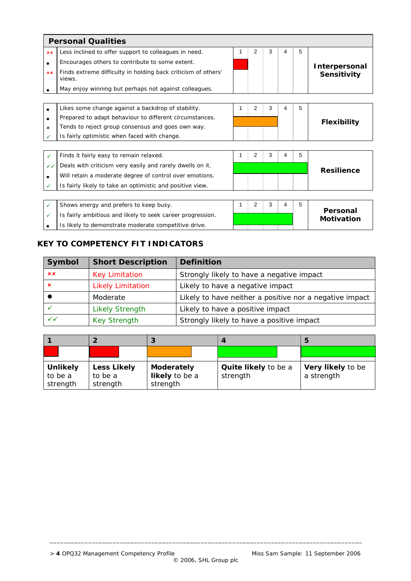|              | <b>Personal Qualities</b>                                               |   |   |   |   |   |                               |  |
|--------------|-------------------------------------------------------------------------|---|---|---|---|---|-------------------------------|--|
| <b>xx</b>    | Less inclined to offer support to colleagues in need.                   | 1 | 2 | 3 | 4 | 5 |                               |  |
| $\bullet$    | Encourages others to contribute to some extent.                         |   |   |   |   |   | Interpersonal                 |  |
| x x          | Finds extreme difficulty in holding back criticism of others'<br>views. |   |   |   |   |   | Sensitivity                   |  |
|              | May enjoy winning but perhaps not against colleagues.                   |   |   |   |   |   |                               |  |
|              |                                                                         |   |   |   |   |   |                               |  |
| $\bullet$    | Likes some change against a backdrop of stability.                      | 1 | 2 | 3 | 4 | 5 |                               |  |
| $\bullet$    | Prepared to adapt behaviour to different circumstances.                 |   |   |   |   |   | <b>Flexibility</b>            |  |
| $\mathbf x$  | Tends to reject group consensus and goes own way.                       |   |   |   |   |   |                               |  |
|              | Is fairly optimistic when faced with change.                            |   |   |   |   |   |                               |  |
|              |                                                                         |   |   |   |   |   |                               |  |
| ✓            | Finds it fairly easy to remain relaxed.                                 | 1 | 2 | 3 | 4 | 5 |                               |  |
| $\checkmark$ | Deals with criticism very easily and rarely dwells on it.               |   |   |   |   |   | <b>Resilience</b>             |  |
| $\bullet$    | Will retain a moderate degree of control over emotions.                 |   |   |   |   |   |                               |  |
| ✓            | Is fairly likely to take an optimistic and positive view.               |   |   |   |   |   |                               |  |
|              |                                                                         |   |   |   |   |   |                               |  |
| $\checkmark$ | Shows energy and prefers to keep busy.                                  | 1 | 2 | 3 | 4 | 5 |                               |  |
| ✓            | Is fairly ambitious and likely to seek career progression.              |   |   |   |   |   | Personal<br><b>Motivation</b> |  |
|              | Is likely to demonstrate moderate competitive drive.                    |   |   |   |   |   |                               |  |

## **KEY TO COMPETENCY FIT INDICATORS**

| Symbol | <b>Short Description</b> | <b>Definition</b>                                       |
|--------|--------------------------|---------------------------------------------------------|
| x x    | <b>Key Limitation</b>    | Strongly likely to have a negative impact               |
| ×      | <b>Likely Limitation</b> | Likely to have a negative impact                        |
|        | Moderate                 | Likely to have neither a positive nor a negative impact |
|        | <b>Likely Strength</b>   | Likely to have a positive impact                        |
| ✓✓     | <b>Key Strength</b>      | Strongly likely to have a positive impact               |

|                 |                    |                   |                      | G                 |
|-----------------|--------------------|-------------------|----------------------|-------------------|
|                 |                    |                   |                      |                   |
|                 |                    |                   |                      |                   |
| <b>Unlikely</b> | <b>Less Likely</b> | <b>Moderately</b> | Quite likely to be a | Very likely to be |
| to be a         | to be a            | likely to be a    | strength             | a strength        |
| strength        | strength           | strength          |                      |                   |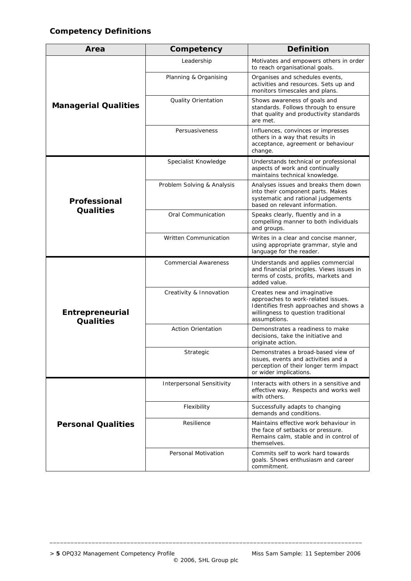# **Competency Definitions**

| Area                                | Competency                  | <b>Definition</b>                                                                                                                                                   |
|-------------------------------------|-----------------------------|---------------------------------------------------------------------------------------------------------------------------------------------------------------------|
|                                     | Leadership                  | Motivates and empowers others in order<br>to reach organisational goals.                                                                                            |
|                                     | Planning & Organising       | Organises and schedules events,<br>activities and resources. Sets up and<br>monitors timescales and plans.                                                          |
| <b>Managerial Qualities</b>         | Quality Orientation         | Shows awareness of goals and<br>standards. Follows through to ensure<br>that quality and productivity standards<br>are met.                                         |
|                                     | Persuasiveness              | Influences, convinces or impresses<br>others in a way that results in<br>acceptance, agreement or behaviour<br>change.                                              |
|                                     | Specialist Knowledge        | Understands technical or professional<br>aspects of work and continually<br>maintains technical knowledge.                                                          |
| Professional                        | Problem Solving & Analysis  | Analyses issues and breaks them down<br>into their component parts. Makes<br>systematic and rational judgements<br>based on relevant information.                   |
| <b>Qualities</b>                    | Oral Communication          | Speaks clearly, fluently and in a<br>compelling manner to both individuals<br>and groups.                                                                           |
|                                     | Written Communication       | Writes in a clear and concise manner,<br>using appropriate grammar, style and<br>language for the reader.                                                           |
|                                     | <b>Commercial Awareness</b> | Understands and applies commercial<br>and financial principles. Views issues in<br>terms of costs, profits, markets and<br>added value.                             |
| Entrepreneurial<br><b>Qualities</b> | Creativity & Innovation     | Creates new and imaginative<br>approaches to work-related issues.<br>Identifies fresh approaches and shows a<br>willingness to question traditional<br>assumptions. |
|                                     | <b>Action Orientation</b>   | Demonstrates a readiness to make<br>decisions, take the initiative and<br>originate action.                                                                         |
|                                     | Strategic                   | Demonstrates a broad-based view of<br>issues, events and activities and a<br>perception of their longer term impact<br>or wider implications.                       |
|                                     | Interpersonal Sensitivity   | Interacts with others in a sensitive and<br>effective way. Respects and works well<br>with others.                                                                  |
|                                     | Flexibility                 | Successfully adapts to changing<br>demands and conditions.                                                                                                          |
| <b>Personal Qualities</b>           | Resilience                  | Maintains effective work behaviour in<br>the face of setbacks or pressure.<br>Remains calm, stable and in control of<br>themselves.                                 |
|                                     | Personal Motivation         | Commits self to work hard towards<br>goals. Shows enthusiasm and career<br>commitment.                                                                              |